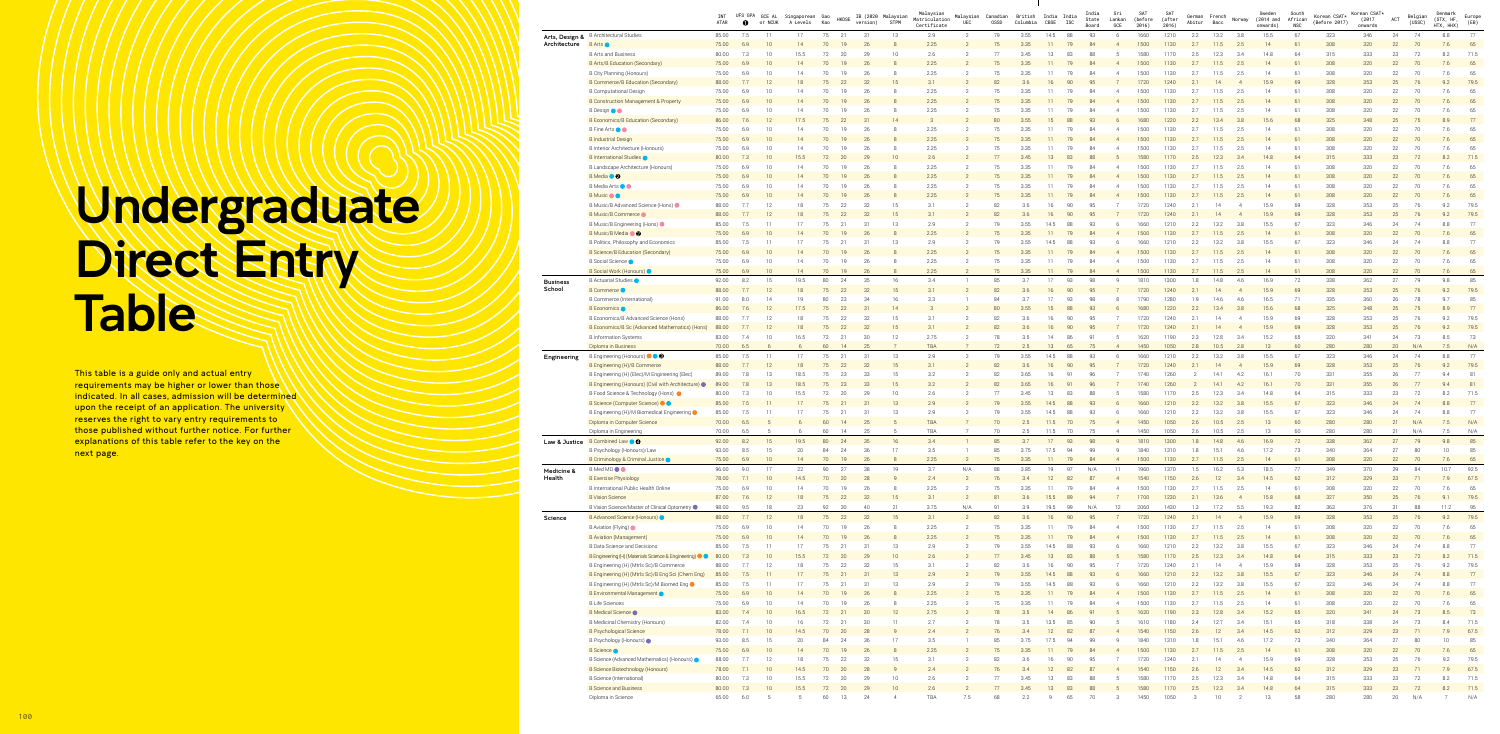|                          |                                                                          | INT<br>ATAR    | $\bullet$  | UFS GPA GCE AL<br>or NCUK | Singaporean Gao<br>A Levels | Kao      | <b>HKDSE</b>  | IB (2020 Malaysian<br>version) | <b>STPM</b>     | Malaysian<br>Matriculation<br>Certificate | UEC                              | Malaysian Canadian<br>0SSD | British<br>Columbia | India India<br>CBSE | <b>ISC</b> | India<br>State<br>Board | Sri<br>Lankan<br>GCE             | SAT<br>(before<br>2016) | SAT<br>(after<br>2016) | German<br>Abitur | French<br>Bacc  | Norway                | Sweden<br>(2014 and<br>onwards) | South<br>African<br><b>NSC</b> | Korean CSAT*<br>(Before 2017) | Korean CSAT*<br>(2017)<br>onwards | ACT      | Belgian<br>(USSC) | Denmark<br>(STX, HF,<br>HTX, HHX) | Europe<br>(EB) |
|--------------------------|--------------------------------------------------------------------------|----------------|------------|---------------------------|-----------------------------|----------|---------------|--------------------------------|-----------------|-------------------------------------------|----------------------------------|----------------------------|---------------------|---------------------|------------|-------------------------|----------------------------------|-------------------------|------------------------|------------------|-----------------|-----------------------|---------------------------------|--------------------------------|-------------------------------|-----------------------------------|----------|-------------------|-----------------------------------|----------------|
| Arts, Design &           | <b>B</b> Architectural Studies                                           | 85.00          | 7.5        | 11                        | 17                          | 75       | 21            | 31                             | 13              | 2.9                                       | $\overline{2}$                   | 79                         | 3.55                | 14.5                | 88         | 93                      | -6                               | 1660                    | 1210                   | 2.2              | 13.2            | 3.8                   | 15.5                            | 67                             | 323                           | 346                               | 24       | 74                | 8.8                               | 77             |
| Architecture             | <b>B</b> Arts<br><b>B Arts and Business</b>                              | 75.00          | 6.9<br>7.3 | 10<br>10                  | 14<br>15.5                  | 70<br>72 | 19            | 26<br>29                       | 10              | 2.25<br>2.6                               |                                  | 75<br>77                   | 3.35<br>3.45        | 11<br>13            | 79<br>83   | 84<br>88                | $\overline{4}$                   | 1500<br>1580            | 1130<br>1170           | 2.7<br>2.5       | 11.5<br>12.3    | 2.5<br>3.4            | 14<br>14.8                      | 61<br>64                       | 308<br>315                    | 320<br>333                        | 22<br>23 | 70<br>72          | 7.6<br>8.2                        | 65<br>71.5     |
|                          | B Arts/B Education (Secondary)                                           | 80.00<br>75.00 | 6.9        | 10                        | 14                          |          | 20            | 26                             |                 | 2.25                                      |                                  | 75                         | 3.35                |                     |            | 84                      |                                  | 1500                    | 1130                   | 2.7              | 11.5            | 2.5                   | 14                              | 61                             | 308                           | 320                               | 22       | 70                | 7.6                               | 65             |
|                          | B City Planning (Honours)                                                | 75.00          | 6.9        | 10                        | 14                          | 70       | 19            | 26                             |                 | 2.25                                      |                                  | 75                         | 3.35                | 11                  |            | 84                      |                                  | 1500                    | 1130                   | 2.7              | 11.5            | 2.5                   | 14                              | 61                             | 308                           | 320                               | 22       | 70                | 7.6                               | 65             |
|                          | B Commerce/B Education (Secondary)                                       | 88.00          | 7.7        | 12                        |                             |          | 22            | 32                             | 15              | 3.1                                       |                                  | 82                         | 3.6                 | 16                  | 90         | 95                      |                                  | 1720                    | 1240                   | 2.1              | 14              | $\overline{A}$        | 15.9                            | 69                             | 328                           | 353                               | 25       | 76                | 9.2                               | 79.5           |
|                          | <b>B Computational Design</b>                                            | 75.00          | 6.9        | 10                        | 14                          | 70       | 19            | 26                             |                 | 2.25                                      |                                  | 75                         | 3.35                | 11                  | 79         |                         |                                  | 1500                    | 1130                   | 2.7              | 11.5            | 2.5                   | 14                              | 61                             | 308                           | 320                               | 22       | 70                | 7.6                               | 65             |
|                          | B Construction Management & Property                                     | 75.00          | 6.9        | 10                        | 14                          |          | -19           | 26                             |                 | 2.25                                      |                                  | 75                         | 3.35                |                     |            | R                       |                                  | 1500                    | 1130                   | 2.7              | 11.5            | 2.5                   | 14                              | 61                             | 308                           | 320                               | 22       | 70                | 7.6                               | 65             |
|                          | B Design <b>O</b>                                                        | 75.00          | 6.9        | 10                        | 14                          | 70       |               | 26                             |                 | 2.25                                      |                                  | 75                         | 3.35                | 11                  | 79         | 84                      |                                  | 1500                    | 1130                   | 2.7              | 11.5            | 2.5                   | 14                              | 61                             | 308                           | 320                               | 22       | 70                | 7.6                               | 65             |
|                          | B Economics/B Education (Secondary)                                      | 86.00          | 7.6        | 12                        | 17.5                        | 75       | 22            | 31                             | 14              |                                           |                                  | 80                         | 3.55                | 15                  | 88         | 93                      |                                  | 1680                    | 1220                   | 2.2              | 13.4            | 3.8                   | 15.6                            | 68                             | 325                           | 348                               | 25       | 75                | 8.9                               | 77             |
|                          | <b>B</b> Fine Arts ● ●                                                   | 75.00          | 6.9        | 10                        | 14                          | 70       | 19            | 26                             |                 | 2.25                                      |                                  | 75                         | 3.35                | 11                  | 79         | 84                      |                                  | 1500                    | 1130                   | 2.7              | 11.5            | 2.5                   | 14                              | 61                             | 308                           | 320                               | 22       | 70                | 7.6                               | 65             |
|                          | <b>B</b> Industrial Design                                               | 75.00          | 6.9        | 10                        | 14                          | 70       |               | 26                             |                 | 2.25                                      |                                  | 75                         | 3.35                | 11                  |            | 84                      |                                  | 1500                    | 1130                   | 2.7              | 11.5            | 2.5                   | 14                              | 61                             | 308                           | 320                               | 22       | 70                | 7.6                               | 65             |
|                          | B Interior Architecture (Honours)                                        | 75.00          | 6.9        | 10                        | 14                          | 70       | 19            | 26                             |                 | 2.25                                      |                                  | 75<br>77                   | 3.35                | 11                  |            |                         |                                  | 1500                    | 1130                   | 2.7              | 11.5            | 2.5                   | 14                              | 61                             | 308                           | 320                               | 22       | 70                | 7.6                               | 65             |
|                          | <b>B</b> International Studies<br>B Landscape Architecture (Honours)     | 80.00<br>75.00 | 7.3<br>6.9 | 10<br>10                  | 15.5<br>14                  | 70       | 19            | 29<br>26                       | 10              | 2.6<br>2.25                               |                                  | 75                         | 3.45<br>3.35        | 11                  |            |                         |                                  | 1580<br>1500            | 1170<br>1130           | 2.5<br>2.7       | 12.3<br>11.5    | 3.4<br>2.5            | 14.8<br>14                      | 64<br>61                       | 315<br>308                    | 333<br>320                        | 23<br>22 | 72<br>70          | 8.2<br>7.6                        | 71.5<br>65     |
|                          | <b>B</b> Media <b>O</b>                                                  | 75.00          | 6.9        | 10                        |                             |          |               | 26                             |                 | 2.25                                      |                                  | 75                         | 3.35                |                     |            | 84                      |                                  | 1500                    | 1130                   | 2.7              | 11.5            | 2.5                   | 14                              | 61                             | 308                           | 320                               | 22       | 70                | 7.6                               | 65             |
|                          | <b>B</b> Media Arts ● ●                                                  | 75.00          | 6.9        | 10                        | 14                          | 70       | 19            | 26                             |                 | 2.25                                      |                                  | 75                         | 3.35                | 11                  | 79         | 84                      |                                  | 1500                    | 1130                   | 2.7              | 11.5            | 2.5                   | 14                              | 61                             | 308                           | 320                               | 22       | 70                | 7.6                               | 65             |
|                          | <b>B</b> Music                                                           | 75.00          | 6.9        | 10                        | 14                          |          |               | 26                             |                 | 2.25                                      |                                  | 75                         | 3.35                |                     |            | 84                      |                                  | 1500                    | 1130                   | 2.7              | 11.5            | 2.5                   | 14                              | 61                             | 308                           | 320                               | 22       | 70                | 7.6                               | 65             |
|                          | B Music/B Advanced Science (Hons)                                        | 88.00          | 7.7        | 12                        | 18                          | 75       | 22            | 32                             | 15              | 3.1                                       |                                  | 82                         | 3.6                 | 16                  | 90         | 95                      |                                  | 1720                    | 1240                   | 2.1              | 14              |                       | 15.9                            | 69                             | 328                           | 353                               | 25       | 76                | 9.2                               | 79.5           |
|                          | B Music/B Commerce                                                       | 88.00          | 7.7        | 12                        | 18                          | 75       | 22            | 32                             | 15              | 3.1                                       |                                  | 82                         | 3.6                 | 16                  | 90         | 95                      |                                  | 1720                    | 1240                   | 2.1              | 14              |                       | 15.9                            | 69                             | 328                           | 353                               | 25       | 76                | 9.2                               | 79.5           |
|                          | B Music/B Engineering (Hons)                                             | 85.00          | 7.5        | 11                        | 17                          | 75       | -21           | 31                             | 13              | 2.9                                       |                                  | 79                         | 3.55                | 14.5                | 88         | 93                      |                                  | 1660                    | 1210                   | 2.2              | 13.2            | 3.8                   | 15.5                            | 67                             | 323                           | 346                               | 24       | 74                | 8.8                               | 77             |
|                          | B Music/B Media<br>10                                                    | 75.00          | 6.9        | 10                        | 14                          | 70       | 19            | 26                             |                 | 2.25                                      |                                  | 75                         | 3.35                | 11                  | 79         | 84                      | $\overline{4}$                   | 1500                    | 1130                   | 2.7              | 11.5            | 2.5                   | 14                              | 61                             | 308                           | 320                               | 22       | 70                | 7.6                               | 65             |
|                          | B Politics, Philosophy and Economics                                     | 85.00          | 7.5        | 11                        | 17                          | 75       | 21            | 31                             | 13              | 2.9                                       |                                  | 79                         | 3.55                | 14.5                | 88         | 93                      |                                  | 1660                    | 1210                   | 2.2              | 13.2            | 3.8                   | 15.5                            | 67                             | 323                           | 346                               | 24       | 74                | 8.8                               | 77             |
|                          | B Science/B Education (Secondary)                                        | 75.00          | 6.9        | 10                        |                             |          |               | 26                             |                 | 2.25                                      |                                  |                            | 3.35                |                     |            | 84                      |                                  | 1500                    | 1130                   | 2.7              | 11.5            | 2.5                   | 14                              | 61                             | 308                           | 320                               | 22       | 70                | 7.6                               | 65             |
|                          | B Social Science                                                         | 75.00          | 6.9        | 10                        | 14                          | 70       | 19            | 26                             |                 | 2.25                                      |                                  | 75                         | 3.35                | 11                  | 79         | 84                      |                                  | 1500                    | 1130                   | 2.7              | 11.5            | 2.5                   | 14                              | 61                             | 308                           | 320                               | 22       | 70                | 7.6                               | 65             |
|                          | B Social Work (Honours)                                                  | 75.00          | 6.9        | 10                        | 14                          | 70       |               | 26                             | 16              | 2.25<br>3.4                               |                                  | 75<br>85                   | 3.35                | 17                  |            | 84                      | 9                                | 1500                    | 1130                   | 2.7              | 11.5            | 2.5<br>4.6            | 14                              | 61                             | 308                           | 320                               | 22       | 70<br>79          | 7.6                               | 65<br>85       |
| Business<br>School       | B Actuarial Studies<br><b>B</b> Commerce                                 | 92.00<br>88.00 | 8.2<br>7.7 | 15<br>12                  | 19.5<br>18                  | 80<br>75 | 24<br>22      | 35<br>32                       | 15              | 3.1                                       |                                  | 82                         | 3.7<br>3.6          | 16                  | 93<br>90   | 98<br>95                |                                  | 1810<br>1720            | 1300<br>1240           | 1.8<br>2.1       | 14.8<br>14      | $\overline{4}$        | 16.9<br>15.9                    | 72<br>69                       | 338<br>328                    | 362<br>353                        | 27<br>25 | 76                | 9.8<br>9.2                        | 79.5           |
|                          | B Commerce (International)                                               | 91.00          | 8.0        | 14                        | 19                          | 80       | 23            | 34                             | 16              | 3.3                                       |                                  | 84                         | 3.7                 | 17                  | 93         | - QR                    |                                  | 1790                    | 1280                   | 1.9              | 14.6            | 4.6                   | 16.5                            | 71                             | 335                           | 360                               | 26       | 78                | Q <sub>7</sub>                    | 85             |
|                          | B Economics O                                                            | 86.00          | 7.6        | 12                        | 17.5                        | 75       | 22            | 31                             | 14              | $\mathcal{B}$                             |                                  | 80                         | 3.55                | 15                  | -88        | 93                      |                                  | 1680                    | 1220                   | 2.2              | 13.4            | 3.8                   | 15.6                            | 68                             | 325                           | 348                               | 25       | 75                | 8.9                               | 77             |
|                          | B Economics/B Advanced Science (Hons)                                    | 88.00          | 7.7        | 12                        | 18                          | 75       | 22            | 32                             | 15              | 3.1                                       |                                  | 82                         | 3.6                 | 16                  | 90         | 95                      |                                  | 1720                    | 1240                   | 2.1              | 14              | $\overline{A}$        | 15.9                            | 69                             | 328                           | 353                               | 25       | 76                | 9.2                               | 79.5           |
|                          | B Economics/B Sc (Advanced Mathematics) (Hons)                           | 88.00          | 7.7        | 12                        | 18                          | 75       | 22            | 32                             | 15              | 3.1                                       |                                  | 82                         | 3.6                 | 16                  | 90         | 95                      |                                  | 1720                    | 1240                   | 2.1              | 14              | $\overline{4}$        | 15.9                            | 69                             | 328                           | 353                               | 25       | 76                | 9.2                               | 79.5           |
|                          | <b>B</b> Information Systems                                             | 83.00          | 7.4        | 10                        | 16.5                        | 72       | 21            | 30                             | 12              | 2.75                                      |                                  | 78                         | 3.5                 | 14                  | 86         | 91                      |                                  | 1620                    | 1190                   | 2.3              | 12.8            | 3.4                   | 15.2                            | 65                             | 320                           | 341                               | 24       | 73                | 8.5                               | 73             |
|                          | Diploma in Business                                                      | 70.00          | 6.5        |                           |                             | 60       | <sup>14</sup> | 25                             |                 | TBA                                       |                                  | 72                         | 2.5                 | 13                  | 65         | 75                      |                                  | 1450                    | 1050                   | 2.8              | 10.5            | 2.8                   | 13                              | 60                             | 280                           | 280                               | 20       | N/A               | 7.5                               | N/A            |
| Engineering              | B Engineering (Honours) ● ● ●                                            | 85.00          | 7.5        | 11                        | 17                          | 75       | 21            | 31                             | 13              | 2.9                                       | $\overline{2}$                   | 79                         | 3.55                | 14.5                | 88         | 93                      | -6                               | 1660                    | 1210                   | 2.2              | 13.2            | 3.8                   | 15.5                            | 67                             | 323                           | 346                               | 24       | 74                | 8.8                               | 77             |
|                          | B Engineering (H)/B Commerce                                             | 88.00          | 7.7        | 12                        | 18                          |          | 22            | 32                             | 15              | 3.1                                       |                                  | 82                         | 3.6                 | 16                  | 90         | 95                      |                                  | 1720                    | 1240                   | 2.1              | 14              | $\overline{A}$        | 15.9                            | 69                             | 328                           | 353                               | 25       | 76                | 9.2                               | 79.5           |
|                          | B Engineering (H) (Elec)/M Engineering (Elec)                            | 89.00          | 7.8        | 13                        | 18.5                        | 75       | 23            | 33                             | 15              | 3.2                                       |                                  | 82                         | 3.65                | 16                  | -91        | 96                      |                                  | 1740                    | 1260                   |                  | 14.1            | 4.2                   | 16.1                            | 70                             | 331                           | 355                               | 26       | 77                | 9.4                               | 81             |
|                          | B Engineering (Honours) (Civil with Architecture) ·                      | 89.00          | 7.8<br>7.3 | 13                        | 18.5                        |          | 23            | 33                             | 15<br>10        | 3.2<br>2.6                                |                                  | 82<br>77                   | 3.65<br>3.45        |                     |            | 88                      |                                  | 1740                    | 1260                   |                  | 14.1            | 4.2<br>3.4            | 16.1<br>14.8                    | 70<br>64                       | 331<br>315                    | 355<br>333                        | 26<br>23 | 77                |                                   | 81<br>71.5     |
|                          | B Food Science & Technology (Hons) ●<br>B Science (Computer Science) ● ● | 80.00<br>85.00 |            | 10                        | 15.5                        | 72       | 20            | 29                             |                 |                                           |                                  |                            |                     | 13                  | 83         |                         |                                  | 1580                    | 1170                   | 2.5              | 12.3            |                       | 15.5                            |                                | 323                           |                                   |          | 72                | 8.2                               |                |
|                          | B Engineering (H)/M Biomedical Engineering ●                             | 85.00          | 7.5        | 11                        | 17                          | 75       | 21            | 31                             | 13              | 2.9                                       |                                  | 79                         | 3.55                | 14.5                | 88         | 93                      |                                  | 1660                    | 1210                   | 2.2              | 13.2            | 3.8                   | 15.5                            | 67                             | 323                           | 346                               | 24       | 74                | 8.8                               | 77             |
|                          | Diploma in Computer Science                                              | 70.00          | 6.5        |                           | -6                          | 60       | 14            | 25                             | $\sqrt{5}$      | <b>TBA</b>                                |                                  | 70                         | 2.5                 | 11.5                | 70         | 75                      | $\overline{4}$                   | 1450                    | 1050                   | 2.6              | 10.5            | 2.5                   | 13                              | 60                             | 280                           | 280                               | 21       | N/A               | 7.5                               | N/A            |
|                          | Diploma in Engineering                                                   | 70.00          | 6.5        |                           | - 6                         | 60       | -14           | 25                             | -5              | TBA                                       |                                  | 70                         | 2.5                 | 11.5                | 70         | 75                      | $\overline{4}$                   | 1450                    | 1050                   | 2.6              | 10.5            | 2.5                   | 13                              | 60                             | 280                           | 280                               | 21       | N/A               | 7.5                               | N/A            |
| <b>Law &amp; Justice</b> | B Combined Law <b>O</b>                                                  | 92.00          | 8.2        | 15                        | 19.5                        | 80       | 24            | 35                             | 16              | 3.4                                       |                                  | 85                         | 3.7                 | 17                  | 93         | 98                      | $\mathsf{q}$                     | 1810                    | 1300                   | 1.8              | 14.8            | 4.6                   | 16.9                            | 72                             | 338                           | 362                               | 27       | 79                | 9.8                               | 85             |
|                          | B Psychology (Honours)/Law                                               | 93.00          | 8.5        | 15                        | 20                          | 84       | 24            | 36                             | 17              | 3.5                                       |                                  | 85                         | 3.75                | 17.5                | 94         | 99                      | q                                | 1840                    | 1310                   | 1.8              | 15.1            | 4.6                   | 17.2                            | 73                             | 340                           | 364                               | 27       | 80                | 10                                | 85             |
|                          | B Criminology & Criminal Justice                                         | 75.00          | 6.9        | 10                        | 14                          | 70       | <b>19</b>     | 26                             | $\mathcal{B}$   | 2.25                                      | $\overline{2}$                   | 75                         | 3.35                | 11                  | 79         | 84                      | $\overline{4}$                   | 1500                    | 1130                   | 2.7              | 11.5            | 2.5                   | 14                              | 61                             | 308                           | 320                               | 22       | 70                | 7.6                               | 65             |
| Medicine &               | B Med MD <sup>O</sup>                                                    | 96.00          | 9.0        | 17                        | 22                          | 90       | 27            | 38                             | 19              | 3.7                                       | N/A                              | 88                         | 3.85                | 19                  | 97         | N/A                     | 11                               | 1960                    | 1370                   | 1.5              | 16.2            | 5.3                   | 18.5                            | 77                             | 349                           | 370                               | 29       | 84                | 10.7                              | 92.5           |
| Health                   | <b>B Exercise Physiology</b>                                             | 78.00          | 7.1        | 10                        | 14.5                        | 70       | 20            | 28                             | $\mathbf{q}$    | 2.4                                       | 2                                | 76                         | 3.4                 | 12                  | 82         | 87                      | $\overline{4}$                   | 1540                    | 1150                   | 2.6              | 12              | 3.4                   | 14.5                            | 62                             | 312                           | 329                               | 23       | 71                | 7.9                               | 67.5           |
|                          | B International Public Health Online                                     | 75.00          | 6.9        | 10                        | 14                          | 70       | 19            | 26                             | 8               | 2.25                                      |                                  | 75                         | 3.35                | 11                  | 79         | 84                      | $\overline{4}$                   | 1500                    | 1130                   | 2.7              | 11.5            | 2.5                   | 14                              | 61                             | 308                           | 320                               | 22       | 70                | 7.6                               | 65             |
|                          | <b>B</b> Vision Science                                                  | 87.00          | 7.6        | 12                        | 18                          | 75       | 22            | 32                             | 15              | 3.1                                       |                                  | 81                         | 3.6                 | 15.5                | 89         | 94                      |                                  | 1700                    | 1230                   | 2.1              | 13.6            | $\overline{4}$        | 15.8                            | 68                             | 327                           | 350                               | 25       | 76                | 9.1                               | 79.5           |
|                          | B Vision Science/Master of Clinical Optometry                            | 98.00          | 9.5        | 18                        | 23                          | 92       | 30            | 40                             | 21              | 3.75                                      | N/A                              | 91                         | 3.9                 | 19.5                | 99         | N/A                     | 12                               | 2060                    | 1430                   | 1.3              | 17.2            | 5.5                   | 19.3                            | 82                             | 363                           | 376                               | 31       | 88                | 11.2                              | 95             |
| Science                  | B Advanced Science (Honours)                                             | 88.00          | 7.7        | 12                        | 18                          | 75       | 22            | 32                             | 15              | 3.1                                       | $\overline{2}$                   | 82                         | 3.6                 | 16                  | 90         | 95                      |                                  | 1720                    | 1240                   | 2.1              | 14              | $\overline{4}$        | 15.9                            | 69                             | 328                           | 353                               | 25       | 76                | 9.2                               | 79.5           |
|                          | B Aviation (Flying)<br><b>B</b> Aviation (Management)                    | 75.00<br>75.00 | 6.9<br>6.9 | 10<br>10                  | 14<br>14                    | 70<br>70 | 19<br>19      | 26<br>26                       | $\mathcal{B}$   | 2.25<br>2.25                              | $\overline{2}$<br>$\overline{2}$ | 75<br>75                   | 3.35<br>3.35        | 11<br>11            | 79<br>79   | 84<br>84                | $\overline{4}$<br>$\overline{4}$ | 1500<br>1500            | 1130<br>1130           | 2.7<br>2.7       | 11.5<br>11.5    | 2.5<br>2.5            | 14<br>14                        | 61<br>61                       | 308<br>308                    | 320<br>320                        | 22<br>22 | 70<br>70          | 7.6<br>7.6                        | 65<br>65       |
|                          | <b>B Data Science and Decisions</b>                                      | 85.00          | 7.5        | 11                        | 17                          | 75       | 21            | 31                             | 13              | 2.9                                       |                                  | 79                         | 3.55                | 14.5                | 88         | 93                      | 6                                | 1660                    | 1210                   | 2.2              | 13.2            | 3.8                   | 15.5                            | 67                             | 323                           | 346                               | 24       | 74                | 8.8                               | 77             |
|                          | B Engineering (H) (Materials Science & Engineering) <sup>O</sup>         | 80.00          | 7.3        | 10                        | 15.5                        | 72       | 20            | 29                             | 10 <sup>°</sup> | 2.6                                       |                                  | 77                         | 3.45                | 13                  | 83         | 88                      | $5\overline{5}$                  | 1580                    | 1170                   | 2.5              | 12.3            | 3.4                   | 14.8                            | 64                             | 315                           | 333                               | 23       | 72                | 8.2                               | 71.5           |
|                          | B Engineering (H) (Mtrls Sc)/B Commerce                                  | 88.00          | 7.7        | 12                        | 18                          | 75       | 22            | 32                             | 15              | 3.1                                       |                                  | 82                         | 3.6                 | 16                  | 90         | 95                      |                                  | 1720                    | 1240                   | 2.1              | 14              | $\overline{4}$        | 15.9                            | 69                             | 328                           | 353                               | 25       | 76                | 9.2                               | 79.5           |
|                          | B Engineering (H) (Mtrls Sc)/B Eng Sci (Chem Eng)                        | 85.00          | 7.5        | 11                        | 17                          | 75       | 21            | 31                             | 13              | 2.9                                       |                                  | 79                         | 3.55                | 14.5                | 88         | 93                      |                                  | 1660                    | 1210                   | 2.2              | 13.2            | 3.8                   | 15.5                            | 67                             | 323                           | 346                               | 24       | 74                | 8.8                               | 77             |
|                          | B Engineering (H) (Mtrls Sc)/M Biomed Eng ●                              | 85.00          | 7.5        | 11                        | 17                          | 75       | 21            | 31                             | 13              | 2.9                                       | $\overline{2}$                   | 79                         | 3.55                | 14.5                | 88         | 93                      | 6                                | 1660                    | 1210                   | 2.2              | 13.2            | 3.8                   | 15.5                            | 67                             | 323                           | 346                               | 24       | 74                | 8.8                               | 77             |
|                          | B Environmental Management                                               | 75.00          | 6.9        | 10                        | 14                          | 70       | 19            | 26                             | $\mathcal{B}$   | 2.25                                      | $\overline{2}$                   | 75                         | 3.35                | 11                  | 79         | 84                      | $\overline{4}$                   | 1500                    | 1130                   | 2.7              | 11.5            | 2.5                   | 14                              | 61                             | 308                           | 320                               | 22       | 70                | 7.6                               | 65             |
|                          | <b>B Life Sciences</b>                                                   | 75.00          | 6.9        | 10                        | 14                          | 70       | 19            | 26                             | 8               | 2.25                                      |                                  | 75                         | 3.35                | 11                  | 79         | 84                      | $\overline{4}$                   | 1500                    | 1130                   | 2.7              | 11.5            | 2.5                   | 14                              | 61                             | 308                           | 320                               | 22       | 70                | 7.6                               | 65             |
|                          | <b>B</b> Medical Science                                                 | 83.00          | 7.4        | 10                        | 16.5                        | 72       | 21            | 30                             | 12              | 2.75                                      |                                  | 78                         | 3.5                 | 14                  | 86         | 91                      | -5                               | 1620                    | 1190                   | 2.3              | 12.8            | 3.4                   | 15.2                            | 65                             | 320                           | 341                               | 24       | 73                | 8.5                               | 73             |
|                          | B Medicinal Chemistry (Honours)                                          | 82.00          | 7.4        | 10                        | 16                          | 72       | 21            | 30                             | 11              | 2.7                                       |                                  | 78                         | 3.5                 | 13.5                | 85         | 90                      |                                  | 1610                    | 1180                   | 2.4              | 12.7            | 3.4                   | 15.1                            | 65                             | 318                           | 338                               | 24       | 73                | 8.4                               | 71.5           |
|                          | <b>B Psychological Science</b>                                           | 78.00          | 7.1        | 10                        | 14.5                        | 70       | 20            | 28                             |                 | 2.4                                       |                                  | 76                         | 3.4                 | 12                  | 82         | 87                      |                                  | 1540                    | 1150                   | 2.6              | 12              | 3.4                   | 14.5                            | 62                             | 312                           | 329                               | 23       | 71                | 7.9                               | 67.5           |
|                          | <b>B Psychology (Honours)</b>                                            | 93.00          | 8.5        | 15                        | 20                          | 84       | 24            | 36                             | 17              | 3.5                                       |                                  | 85                         | 3.75                | 17.5                | 94         | 99                      | q                                | 1840                    | 1310                   | 1.8              | 15.1            | 4.6                   | 17.2                            | 73                             | 340                           | 364                               | 27       | 80                | 10                                | 85             |
|                          | B Science •<br>B Science (Advanced Mathematics) (Honours)                | 75.00          | 6.9        | 10                        | 14                          | 70       | 19            | 26<br>32                       | 15              | 2.25<br>3.1                               |                                  | 75<br>82                   | 3.35                | 11                  | 79         | 84                      | $\overline{4}$                   | 1500                    | 1130                   | 2.7              | 11.5            | 2.5                   | 14<br>15.9                      | 61                             | 308<br>328                    | 320                               | 22       | 70                | 7.6                               | 65<br>79.5     |
|                          | B Science Biotechnology (Honours)                                        | 88.00<br>78.00 | 7.7<br>7.1 | 12<br>10                  | 18<br>14.5                  | 75<br>70 | 22<br>20      | 28                             |                 | 2.4                                       |                                  | 76                         | 3.6<br>3.4          | 16<br>12            | 90<br>82   | 95<br>87                | $\overline{4}$                   | 1720<br>1540            | 1240<br>1150           | 2.1<br>2.6       | 14<br>12        | $\overline{4}$<br>3.4 | 14.5                            | 69<br>62                       | 312                           | 353<br>329                        | 25<br>23 | 76<br>71          | 9.2<br>7.9                        | 67.5           |
|                          | B Science (International)                                                | 80.00          | 7.3        | 10                        | 15.5                        | 72       | 20            | 29                             | 10 <sup>°</sup> | 2.6                                       | 2                                | 77                         | 3.45                | 13                  | 83         | 88                      | -5                               | 1580                    | 1170                   | 2.5              | 12.3            | 3.4                   | 14.8                            | 64                             | 315                           | 333                               | 23       | 72                | 8.2                               | 71.5           |
|                          | <b>B</b> Science and Business                                            | 80.00          | 7.3        | 10                        | 15.5                        | 72 20    |               | 29                             | 10 <sup>°</sup> | 2.6                                       | $\overline{2}$                   | 77                         | 3.45                | 13                  | 83         | 88                      | $-5$                             | 1580                    | 1170                   | 2.5              | 12.3            | 3.4                   | 14.8                            | 64                             | 315                           | 333                               | 23       | 72                | 8.2                               | 71.5           |
|                          | Diploma in Science                                                       | 65.00          | 6.0        |                           |                             | 60       | 13            | 24                             |                 | TBA                                       | 7.5                              | 68                         | 2.2                 | Q                   | 65         | 70                      | 3                                | 1450                    | 1050                   |                  | 10 <sup>°</sup> |                       | 13                              | 58                             | 280                           | 280                               | 20       | N/A               | 7                                 | N/A            |

This table is a guide only and actual entry requirements may be higher or lower than those indicated. In all cases, admission will be determined upon the receipt of an application. The university reserves the right to vary entry requirements to those published without further notice. For further explanations of this table refer to the key on the next page.

# Undergraduate **Direct Entry** Table